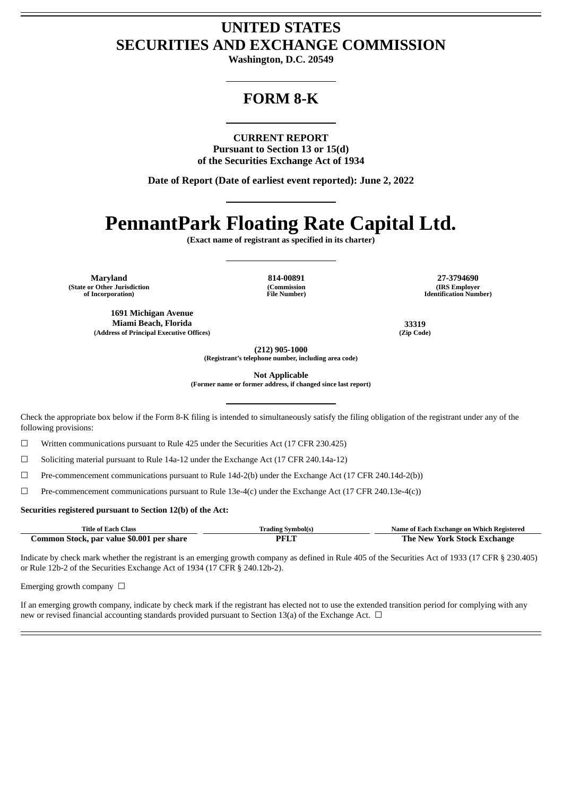## **UNITED STATES SECURITIES AND EXCHANGE COMMISSION**

**Washington, D.C. 20549**

## **FORM 8-K**

**CURRENT REPORT**

**Pursuant to Section 13 or 15(d) of the Securities Exchange Act of 1934**

**Date of Report (Date of earliest event reported): June 2, 2022**

# **PennantPark Floating Rate Capital Ltd.**

**(Exact name of registrant as specified in its charter)**

**Maryland 814-00891 27-3794690 (State or Other Jurisdiction of Incorporation)**

**1691 Michigan Avenue Miami Beach, Florida 33319 (Address of Principal Executive Offices) (Zip Code)**

**(Commission File Number)**

**(IRS Employer Identification Number)**

**(212) 905-1000**

**(Registrant's telephone number, including area code)**

**Not Applicable**

**(Former name or former address, if changed since last report)**

Check the appropriate box below if the Form 8-K filing is intended to simultaneously satisfy the filing obligation of the registrant under any of the following provisions:

☐ Written communications pursuant to Rule 425 under the Securities Act (17 CFR 230.425)

☐ Soliciting material pursuant to Rule 14a-12 under the Exchange Act (17 CFR 240.14a-12)

☐ Pre-commencement communications pursuant to Rule 14d-2(b) under the Exchange Act (17 CFR 240.14d-2(b))

 $\Box$  Pre-commencement communications pursuant to Rule 13e-4(c) under the Exchange Act (17 CFR 240.13e-4(c))

#### **Securities registered pursuant to Section 12(b) of the Act:**

| Title of Each Class                       | <b>Trading Symbol(s)</b> | Name of Each Exchange on Which Registered |
|-------------------------------------------|--------------------------|-------------------------------------------|
| Common Stock, par value \$0.001 per share | PFLT                     | The New York Stock Exchange               |

Indicate by check mark whether the registrant is an emerging growth company as defined in Rule 405 of the Securities Act of 1933 (17 CFR § 230.405) or Rule 12b-2 of the Securities Exchange Act of 1934 (17 CFR § 240.12b-2).

Emerging growth company  $\Box$ 

If an emerging growth company, indicate by check mark if the registrant has elected not to use the extended transition period for complying with any new or revised financial accounting standards provided pursuant to Section 13(a) of the Exchange Act.  $\Box$